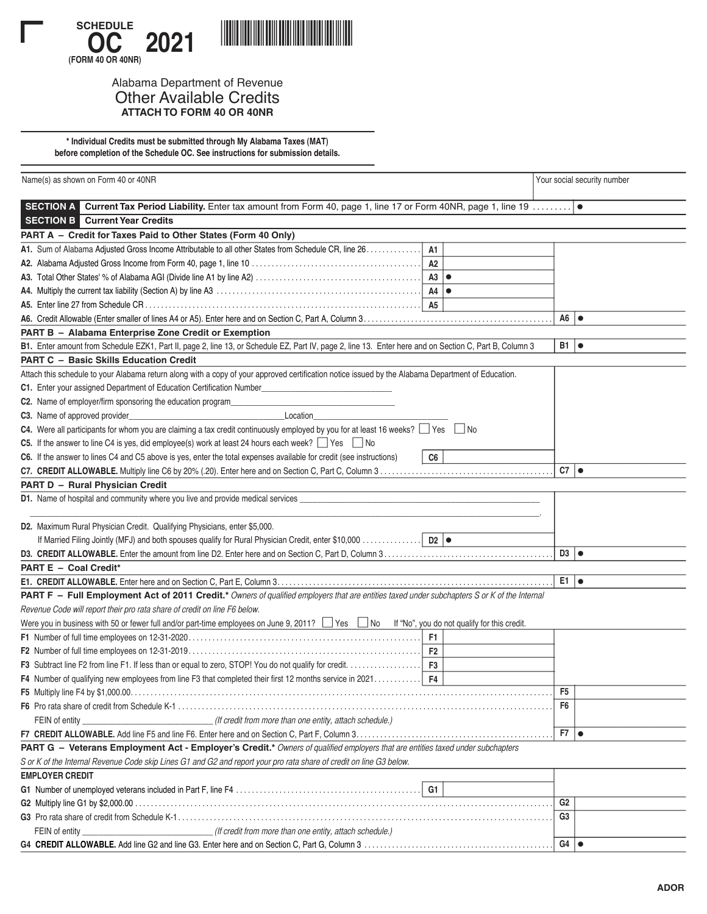

## Alabama Department of Revenue Other Available Credits **ATTACH TO FORM 40 OR 40NR**

**\* Individual Credits must be submitted through My Alabama Taxes (MAT) before completion of the Schedule OC. See instructions for submission details.**

| Name(s) as shown on Form 40 or 40NR                                                                                                                    | Your social security number |  |
|--------------------------------------------------------------------------------------------------------------------------------------------------------|-----------------------------|--|
| SECTION A Current Tax Period Liability. Enter tax amount from Form 40, page 1, line 17 or Form 40NR, page 1, line 19                                   | $\bullet$                   |  |
| <b>SECTION B</b> Current Year Credits                                                                                                                  |                             |  |
| PART A - Credit for Taxes Paid to Other States (Form 40 Only)                                                                                          |                             |  |
| A1. Sum of Alabama Adjusted Gross Income Attributable to all other States from Schedule CR, line 26.<br>A1                                             |                             |  |
| A2                                                                                                                                                     |                             |  |
| $A3$ $\bullet$                                                                                                                                         |                             |  |
|                                                                                                                                                        |                             |  |
| <b>A5</b>                                                                                                                                              |                             |  |
|                                                                                                                                                        | $A6$ $\bullet$              |  |
| PART B - Alabama Enterprise Zone Credit or Exemption                                                                                                   |                             |  |
| B1. Enter amount from Schedule EZK1, Part II, page 2, line 13, or Schedule EZ, Part IV, page 2, line 13. Enter here and on Section C, Part B, Column 3 | $B1$ $\bullet$              |  |
| <b>PART C - Basic Skills Education Credit</b>                                                                                                          |                             |  |
| Attach this schedule to your Alabama return along with a copy of your approved certification notice issued by the Alabama Department of Education.     |                             |  |
| C1. Enter your assigned Department of Education Certification Number_____                                                                              |                             |  |
| C2. Name of employer/firm sponsoring the education program__________                                                                                   |                             |  |
| C3. Name of approved provider_<br>Location                                                                                                             |                             |  |
| C4. Were all participants for whom you are claiming a tax credit continuously employed by you for at least 16 weeks? $\Box$ Yes $\Box$ No              |                             |  |
| C5. If the answer to line C4 is yes, did employee(s) work at least 24 hours each week? $\Box$ Yes $\Box$ No                                            |                             |  |
| C6. If the answer to lines C4 and C5 above is yes, enter the total expenses available for credit (see instructions)<br>C <sub>6</sub>                  |                             |  |
|                                                                                                                                                        | $C7$ $\bullet$              |  |
| PART D - Rural Physician Credit                                                                                                                        |                             |  |
| D1. Name of hospital and community where you live and provide medical services ___                                                                     |                             |  |
|                                                                                                                                                        |                             |  |
| D2. Maximum Rural Physician Credit. Qualifying Physicians, enter \$5,000.                                                                              |                             |  |
|                                                                                                                                                        |                             |  |
|                                                                                                                                                        | $D3$ $\bullet$              |  |
| PART E - Coal Credit*                                                                                                                                  |                             |  |
|                                                                                                                                                        | $E1$ $\bullet$              |  |
| PART F - Full Employment Act of 2011 Credit.* Owners of qualified employers that are entities taxed under subchapters S or K of the Internal           |                             |  |
| Revenue Code will report their pro rata share of credit on line F6 below.                                                                              |                             |  |
| Were you in business with 50 or fewer full and/or part-time employees on June 9, 2011? □ Yes □ No  If "No", you do not qualify for this credit.        |                             |  |
| F <sub>1</sub>                                                                                                                                         |                             |  |
| F <sub>2</sub>                                                                                                                                         |                             |  |
| F <sub>3</sub>                                                                                                                                         |                             |  |
| F4 Number of qualifying new employees from line F3 that completed their first 12 months service in 2021<br>F4                                          |                             |  |
|                                                                                                                                                        | F5                          |  |
|                                                                                                                                                        | F6                          |  |
|                                                                                                                                                        |                             |  |
|                                                                                                                                                        | $F7$ $\bullet$              |  |
| PART G - Veterans Employment Act - Employer's Credit.* Owners of qualified employers that are entities taxed under subchapters                         |                             |  |
| S or K of the Internal Revenue Code skip Lines G1 and G2 and report your pro rata share of credit on line G3 below.                                    |                             |  |
| <b>EMPLOYER CREDIT</b>                                                                                                                                 |                             |  |
| G1                                                                                                                                                     |                             |  |
|                                                                                                                                                        | G <sub>2</sub>              |  |
|                                                                                                                                                        | G <sub>3</sub>              |  |
| FEIN of entity _______________________________(If credit from more than one entity, attach schedule.)                                                  |                             |  |
|                                                                                                                                                        | $G4$ $\bullet$              |  |
|                                                                                                                                                        |                             |  |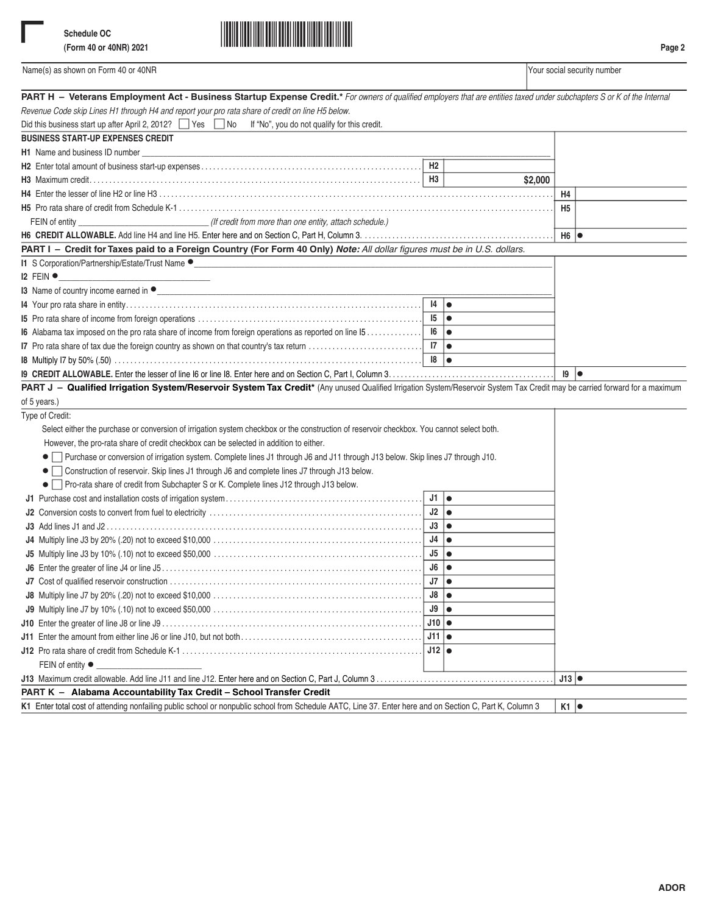

| PART H - Veterans Employment Act - Business Startup Expense Credit.* For owners of qualified employers that are entities taxed under subchapters S or K of the Internal    |                   |         |                 |
|----------------------------------------------------------------------------------------------------------------------------------------------------------------------------|-------------------|---------|-----------------|
| Revenue Code skip Lines H1 through H4 and report your pro rata share of credit on line H5 below.                                                                           |                   |         |                 |
| Did this business start up after April 2, 2012? Yes No If "No", you do not qualify for this credit.                                                                        |                   |         |                 |
| <b>BUSINESS START-UP EXPENSES CREDIT</b>                                                                                                                                   |                   |         |                 |
| H1 Name and business ID number                                                                                                                                             |                   |         |                 |
|                                                                                                                                                                            | H2                |         |                 |
|                                                                                                                                                                            | H <sub>3</sub>    | \$2,000 |                 |
|                                                                                                                                                                            | H4                |         |                 |
|                                                                                                                                                                            |                   |         | H <sub>5</sub>  |
| FEIN of entity __________________________________(If credit from more than one entity, attach schedule.)                                                                   |                   |         |                 |
|                                                                                                                                                                            |                   |         | H6              |
| PART I - Credit for Taxes paid to a Foreign Country (For Form 40 Only) Note: All dollar figures must be in U.S. dollars.                                                   |                   |         |                 |
| I1 S Corporation/Partnership/Estate/Trust Name ●<br><u> 1980 - Jan Barnett, fransk politik (d. 1980)</u>                                                                   |                   |         |                 |
| $12$ FEIN $\bullet$                                                                                                                                                        |                   |         |                 |
|                                                                                                                                                                            |                   |         |                 |
|                                                                                                                                                                            | 4                 |         |                 |
|                                                                                                                                                                            | $15$ $\bullet$    |         |                 |
| <b>I6</b> Alabama tax imposed on the pro rata share of income from foreign operations as reported on line 15                                                               | 16   <b>e</b>     |         |                 |
| I7 Pro rata share of tax due the foreign country as shown on that country's tax return                                                                                     | 7                 |         |                 |
|                                                                                                                                                                            | 18 ∣●             |         |                 |
|                                                                                                                                                                            |                   |         | 19<br>$\bullet$ |
| PART J - Qualified Irrigation System/Reservoir System Tax Credit* (Any unused Qualified Irrigation System/Reservoir System Tax Credit may be carried forward for a maximum |                   |         |                 |
| of 5 years.)                                                                                                                                                               |                   |         |                 |
| Type of Credit:                                                                                                                                                            |                   |         |                 |
| Select either the purchase or conversion of irrigation system checkbox or the construction of reservoir checkbox. You cannot select both.                                  |                   |         |                 |
| However, the pro-rata share of credit checkbox can be selected in addition to either.                                                                                      |                   |         |                 |
| ● Purchase or conversion of irrigation system. Complete lines J1 through J6 and J11 through J13 below. Skip lines J7 through J10.                                          |                   |         |                 |
| Construction of reservoir. Skip lines J1 through J6 and complete lines J7 through J13 below.<br>$\bullet$                                                                  |                   |         |                 |
| • Pro-rata share of credit from Subchapter S or K. Complete lines J12 through J13 below.                                                                                   |                   |         |                 |
|                                                                                                                                                                            | $J1$ $\bullet$    |         |                 |
|                                                                                                                                                                            | $J2 \mid \bullet$ |         |                 |
|                                                                                                                                                                            | $J3 \mid \bullet$ |         |                 |
|                                                                                                                                                                            | $J4 \mid \bullet$ |         |                 |
|                                                                                                                                                                            | $J5$ $\bullet$    |         |                 |
|                                                                                                                                                                            | $J6$ $\bullet$    |         |                 |
|                                                                                                                                                                            | $J7 \mid \bullet$ |         |                 |
|                                                                                                                                                                            | $J8 \mid \bullet$ |         |                 |
| J9 Multiply line J7 by 10% (.10) not to exceed \$50,000                                                                                                                    | J9                |         |                 |
|                                                                                                                                                                            | $J10$ $\bullet$   |         |                 |
|                                                                                                                                                                            | $J11$ $\bullet$   |         |                 |
|                                                                                                                                                                            | $J12$ $\bullet$   |         |                 |
| FEIN of entity ●                                                                                                                                                           |                   |         |                 |
|                                                                                                                                                                            |                   |         | $J13$ $\bullet$ |
| PART K - Alabama Accountability Tax Credit - School Transfer Credit                                                                                                        |                   |         |                 |
| K1 Enter total cost of attending nonfailing public school or nonpublic school from Schedule AATC, Line 37. Enter here and on Section C, Part K, Column 3                   |                   |         | $K1$ $\bullet$  |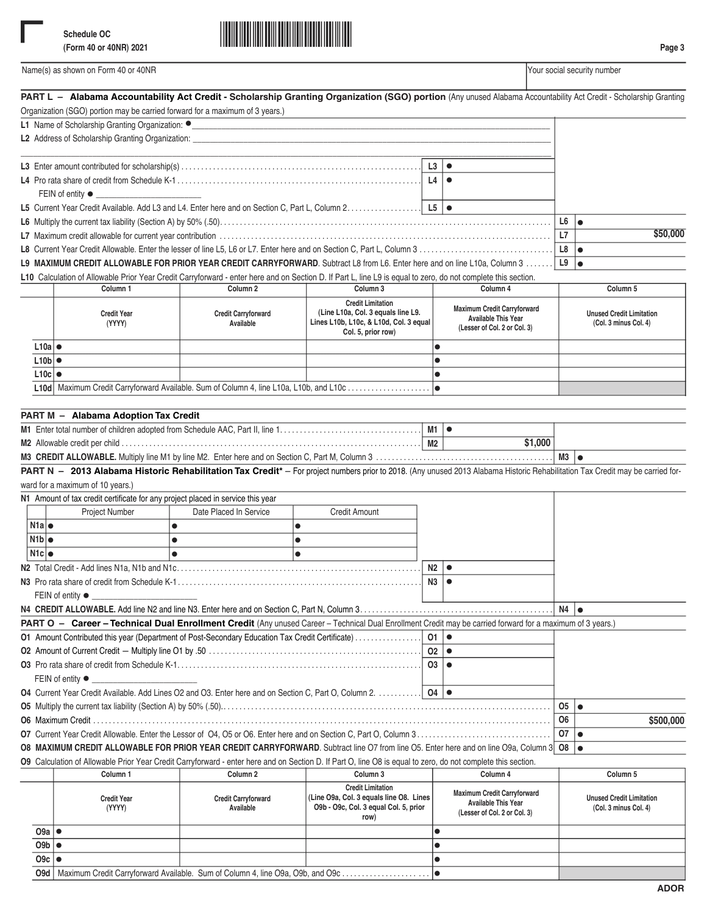

|                    |                                                                                 | PART L - Alabama Accountability Act Credit - Scholarship Granting Organization (SGO) portion (Any unused Alabama Accountability Act Credit - Scholarship Granting                                                                                                                           |                                                                                                                      |                |                                                                                                  |                |                                                          |
|--------------------|---------------------------------------------------------------------------------|---------------------------------------------------------------------------------------------------------------------------------------------------------------------------------------------------------------------------------------------------------------------------------------------|----------------------------------------------------------------------------------------------------------------------|----------------|--------------------------------------------------------------------------------------------------|----------------|----------------------------------------------------------|
|                    | Organization (SGO) portion may be carried forward for a maximum of 3 years.)    |                                                                                                                                                                                                                                                                                             |                                                                                                                      |                |                                                                                                  |                |                                                          |
|                    | L1 Name of Scholarship Granting Organization: •                                 |                                                                                                                                                                                                                                                                                             |                                                                                                                      |                |                                                                                                  |                |                                                          |
|                    |                                                                                 |                                                                                                                                                                                                                                                                                             |                                                                                                                      |                |                                                                                                  |                |                                                          |
|                    |                                                                                 |                                                                                                                                                                                                                                                                                             |                                                                                                                      | L3             |                                                                                                  |                |                                                          |
|                    |                                                                                 | $\bullet$                                                                                                                                                                                                                                                                                   |                                                                                                                      |                |                                                                                                  |                |                                                          |
|                    |                                                                                 |                                                                                                                                                                                                                                                                                             |                                                                                                                      | L4             |                                                                                                  |                |                                                          |
|                    | FEIN of entity ●                                                                |                                                                                                                                                                                                                                                                                             |                                                                                                                      |                |                                                                                                  |                |                                                          |
|                    |                                                                                 |                                                                                                                                                                                                                                                                                             |                                                                                                                      |                | $\bullet$                                                                                        |                |                                                          |
|                    |                                                                                 |                                                                                                                                                                                                                                                                                             |                                                                                                                      |                |                                                                                                  | L6<br>L7       | $\bullet$<br>\$50,000                                    |
|                    |                                                                                 |                                                                                                                                                                                                                                                                                             |                                                                                                                      |                |                                                                                                  |                |                                                          |
|                    |                                                                                 |                                                                                                                                                                                                                                                                                             |                                                                                                                      |                |                                                                                                  | L8<br>L9       | $\bullet$<br>$\bullet$                                   |
|                    |                                                                                 | L9 MAXIMUM CREDIT ALLOWABLE FOR PRIOR YEAR CREDIT CARRYFORWARD. Subtract L8 from L6. Enter here and on line L10a, Column 3<br>L10 Calculation of Allowable Prior Year Credit Carryforward - enter here and on Section D. If Part L, line L9 is equal to zero, do not complete this section. |                                                                                                                      |                |                                                                                                  |                |                                                          |
|                    | Column 1                                                                        | Column <sub>2</sub>                                                                                                                                                                                                                                                                         | Column 3                                                                                                             |                | Column 4                                                                                         |                | Column 5                                                 |
|                    | <b>Credit Year</b>                                                              | <b>Credit Carryforward</b>                                                                                                                                                                                                                                                                  | <b>Credit Limitation</b><br>(Line L10a, Col. 3 equals line L9.                                                       |                | <b>Maximum Credit Carryforward</b><br><b>Available This Year</b>                                 |                | <b>Unused Credit Limitation</b>                          |
|                    | (YYYY)                                                                          | Available                                                                                                                                                                                                                                                                                   | Lines L10b, L10c, & L10d, Col. 3 equal<br>Col. 5, prior row)                                                         |                | (Lesser of Col. 2 or Col. 3)                                                                     |                | (Col. 3 minus Col. 4)                                    |
| $L10a$ $\bullet$   |                                                                                 |                                                                                                                                                                                                                                                                                             |                                                                                                                      | $\bullet$      |                                                                                                  |                |                                                          |
| $L10b$ $\bullet$   |                                                                                 |                                                                                                                                                                                                                                                                                             |                                                                                                                      | $\bullet$      |                                                                                                  |                |                                                          |
| $L10c$ $\bullet$   |                                                                                 |                                                                                                                                                                                                                                                                                             |                                                                                                                      |                |                                                                                                  |                |                                                          |
|                    |                                                                                 | L10d Maximum Credit Carryforward Available. Sum of Column 4, line L10a, L10b, and L10c                                                                                                                                                                                                      |                                                                                                                      |                |                                                                                                  |                |                                                          |
|                    |                                                                                 |                                                                                                                                                                                                                                                                                             |                                                                                                                      |                |                                                                                                  |                |                                                          |
|                    | PART M - Alabama Adoption Tax Credit                                            |                                                                                                                                                                                                                                                                                             |                                                                                                                      |                |                                                                                                  |                |                                                          |
|                    |                                                                                 |                                                                                                                                                                                                                                                                                             |                                                                                                                      |                |                                                                                                  |                |                                                          |
|                    |                                                                                 |                                                                                                                                                                                                                                                                                             |                                                                                                                      | M2             | \$1,000                                                                                          |                |                                                          |
|                    |                                                                                 |                                                                                                                                                                                                                                                                                             |                                                                                                                      |                |                                                                                                  | $M3$ $\bullet$ |                                                          |
|                    |                                                                                 | PART N - 2013 Alabama Historic Rehabilitation Tax Credit* - For project numbers prior to 2018. (Any unused 2013 Alabama Historic Rehabilitation Tax Credit may be carried for-                                                                                                              |                                                                                                                      |                |                                                                                                  |                |                                                          |
|                    | ward for a maximum of 10 years.)                                                |                                                                                                                                                                                                                                                                                             |                                                                                                                      |                |                                                                                                  |                |                                                          |
|                    | N1 Amount of tax credit certificate for any project placed in service this year |                                                                                                                                                                                                                                                                                             |                                                                                                                      |                |                                                                                                  |                |                                                          |
|                    | <b>Project Number</b>                                                           | Date Placed In Service                                                                                                                                                                                                                                                                      | <b>Credit Amount</b>                                                                                                 |                |                                                                                                  |                |                                                          |
| N1a                |                                                                                 | $\bullet$<br>$\bullet$                                                                                                                                                                                                                                                                      |                                                                                                                      |                |                                                                                                  |                |                                                          |
| N1b                |                                                                                 | $\bullet$<br>$\bullet$                                                                                                                                                                                                                                                                      |                                                                                                                      |                |                                                                                                  |                |                                                          |
| N1c                |                                                                                 | $\bullet$<br>$\bullet$                                                                                                                                                                                                                                                                      |                                                                                                                      |                |                                                                                                  |                |                                                          |
|                    |                                                                                 |                                                                                                                                                                                                                                                                                             |                                                                                                                      |                | $\bullet$                                                                                        |                |                                                          |
|                    |                                                                                 |                                                                                                                                                                                                                                                                                             |                                                                                                                      | N2             | $\bullet$                                                                                        |                |                                                          |
|                    |                                                                                 |                                                                                                                                                                                                                                                                                             |                                                                                                                      | N3             |                                                                                                  |                |                                                          |
|                    | FEIN of entity $\bullet$                                                        |                                                                                                                                                                                                                                                                                             |                                                                                                                      |                |                                                                                                  | N4             |                                                          |
|                    |                                                                                 |                                                                                                                                                                                                                                                                                             |                                                                                                                      |                |                                                                                                  |                |                                                          |
|                    |                                                                                 | PART O - Career - Technical Dual Enrollment Credit (Any unused Career - Technical Dual Enrollment Credit may be carried forward for a maximum of 3 years.)                                                                                                                                  |                                                                                                                      |                |                                                                                                  |                |                                                          |
|                    |                                                                                 | 01 Amount Contributed this year (Department of Post-Secondary Education Tax Credit Certificate)                                                                                                                                                                                             |                                                                                                                      | 01             | ∣ ●                                                                                              |                |                                                          |
|                    |                                                                                 |                                                                                                                                                                                                                                                                                             |                                                                                                                      | O2             | $\bullet$                                                                                        |                |                                                          |
|                    |                                                                                 |                                                                                                                                                                                                                                                                                             |                                                                                                                      | 03             | $\bullet$                                                                                        |                |                                                          |
|                    | FEIN of entity $\bullet$                                                        |                                                                                                                                                                                                                                                                                             |                                                                                                                      |                |                                                                                                  |                |                                                          |
|                    |                                                                                 | O4 Current Year Credit Available. Add Lines O2 and O3. Enter here and on Section C, Part O, Column 2.                                                                                                                                                                                       |                                                                                                                      | $04$ $\bullet$ |                                                                                                  |                |                                                          |
|                    |                                                                                 |                                                                                                                                                                                                                                                                                             |                                                                                                                      |                |                                                                                                  | 05             | $\bullet$                                                |
|                    |                                                                                 |                                                                                                                                                                                                                                                                                             |                                                                                                                      |                |                                                                                                  | 06             | \$500,000                                                |
|                    |                                                                                 |                                                                                                                                                                                                                                                                                             |                                                                                                                      |                |                                                                                                  | 07             | $\bullet$                                                |
|                    |                                                                                 | O8 MAXIMUM CREDIT ALLOWABLE FOR PRIOR YEAR CREDIT CARRYFORWARD. Subtract line O7 from line O5. Enter here and on line O9a, Column 3                                                                                                                                                         |                                                                                                                      |                |                                                                                                  | O8             | $\bullet$                                                |
|                    |                                                                                 | O9 Calculation of Allowable Prior Year Credit Carryforward - enter here and on Section D. If Part O, line O8 is equal to zero, do not complete this section.                                                                                                                                |                                                                                                                      |                |                                                                                                  |                |                                                          |
|                    | Column 1                                                                        | Column 2                                                                                                                                                                                                                                                                                    | Column 3                                                                                                             |                | Column 4                                                                                         |                | Column 5                                                 |
|                    | <b>Credit Year</b><br>(YYYY)                                                    | <b>Credit Carryforward</b><br>Available                                                                                                                                                                                                                                                     | <b>Credit Limitation</b><br>(Line O9a, Col. 3 equals line O8. Lines<br>O9b - O9c, Col. 3 equal Col. 5, prior<br>row) |                | <b>Maximum Credit Carryforward</b><br><b>Available This Year</b><br>(Lesser of Col. 2 or Col. 3) |                | <b>Unused Credit Limitation</b><br>(Col. 3 minus Col. 4) |
| $09a$  ●           |                                                                                 |                                                                                                                                                                                                                                                                                             |                                                                                                                      | $\bullet$      |                                                                                                  |                |                                                          |
| $09b \mid \bullet$ |                                                                                 |                                                                                                                                                                                                                                                                                             |                                                                                                                      | $\bullet$      |                                                                                                  |                |                                                          |
| $09c$  ●           |                                                                                 |                                                                                                                                                                                                                                                                                             |                                                                                                                      | $\bullet$      |                                                                                                  |                |                                                          |

•

Maximum Credit Carryforward Available. Sum of Column 4, line O9a, O9b, and O9c ................... . . . **O9d**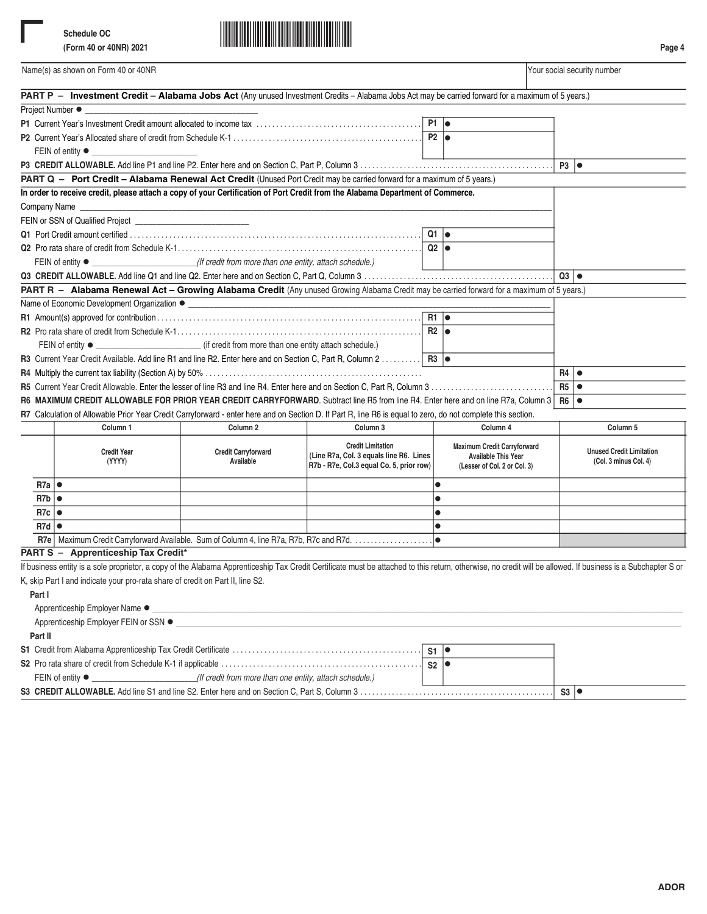

|                  | Name(s) as shown on Form 40 or 40NR                                                                                                                                                                          |                            |                                                                     |                                                                  | Your social security number     |
|------------------|--------------------------------------------------------------------------------------------------------------------------------------------------------------------------------------------------------------|----------------------------|---------------------------------------------------------------------|------------------------------------------------------------------|---------------------------------|
|                  | PART P - Investment Credit - Alabama Jobs Act (Any unused Investment Credits - Alabama Jobs Act may be carried forward for a maximum of 5 years.)                                                            |                            |                                                                     |                                                                  |                                 |
|                  | Project Number ●                                                                                                                                                                                             |                            |                                                                     |                                                                  |                                 |
|                  |                                                                                                                                                                                                              |                            |                                                                     | $P1$ $\bullet$                                                   |                                 |
|                  |                                                                                                                                                                                                              |                            |                                                                     | $P2 \mid \bullet$                                                |                                 |
|                  | FEIN of entity $\bullet$ _                                                                                                                                                                                   |                            |                                                                     |                                                                  |                                 |
|                  |                                                                                                                                                                                                              |                            |                                                                     |                                                                  | $P3$ $\bullet$                  |
|                  | PART Q - Port Credit - Alabama Renewal Act Credit (Unused Port Credit may be carried forward for a maximum of 5 years.)                                                                                      |                            |                                                                     |                                                                  |                                 |
|                  | In order to receive credit, please attach a copy of your Certification of Port Credit from the Alabama Department of Commerce.                                                                               |                            |                                                                     |                                                                  |                                 |
|                  | Company Name                                                                                                                                                                                                 |                            |                                                                     |                                                                  |                                 |
|                  | FEIN or SSN of Qualified Project <b>CONSUMERS</b>                                                                                                                                                            |                            |                                                                     |                                                                  |                                 |
|                  |                                                                                                                                                                                                              |                            |                                                                     | $Q1$ $\bullet$                                                   |                                 |
|                  |                                                                                                                                                                                                              |                            |                                                                     | $Q2$ $\bullet$                                                   |                                 |
|                  | FEIN of entity ● ___________________________(If credit from more than one entity, attach schedule.)                                                                                                          |                            |                                                                     |                                                                  |                                 |
|                  |                                                                                                                                                                                                              |                            |                                                                     |                                                                  | $Q3$ $\bullet$                  |
|                  | PART R - Alabama Renewal Act - Growing Alabama Credit (Any unused Growing Alabama Credit may be carried forward for a maximum of 5 years.)                                                                   |                            |                                                                     |                                                                  |                                 |
|                  |                                                                                                                                                                                                              |                            |                                                                     |                                                                  |                                 |
|                  |                                                                                                                                                                                                              |                            |                                                                     | $R1$ $\bullet$                                                   |                                 |
|                  |                                                                                                                                                                                                              |                            |                                                                     | $R2$ $\bullet$                                                   |                                 |
|                  |                                                                                                                                                                                                              |                            |                                                                     |                                                                  |                                 |
|                  | R3 Current Year Credit Available. Add line R1 and line R2. Enter here and on Section C, Part R, Column 2  R3                                                                                                 |                            |                                                                     |                                                                  |                                 |
|                  |                                                                                                                                                                                                              |                            |                                                                     |                                                                  | R4<br>$\bullet$                 |
|                  |                                                                                                                                                                                                              |                            |                                                                     |                                                                  | R5<br>$\bullet$                 |
|                  | R6 MAXIMUM CREDIT ALLOWABLE FOR PRIOR YEAR CREDIT CARRYFORWARD. Subtract line R5 from line R4. Enter here and on line R7a, Column 3                                                                          |                            |                                                                     |                                                                  | R6<br>$\bullet$                 |
|                  | R7 Calculation of Allowable Prior Year Credit Carryforward - enter here and on Section D. If Part R, line R6 is equal to zero, do not complete this section.                                                 |                            |                                                                     |                                                                  |                                 |
|                  | Column 1                                                                                                                                                                                                     | Column <sub>2</sub>        | Column 3                                                            | Column 4                                                         | Column 5                        |
|                  |                                                                                                                                                                                                              |                            |                                                                     |                                                                  |                                 |
|                  | <b>Credit Year</b>                                                                                                                                                                                           | <b>Credit Carryforward</b> | <b>Credit Limitation</b><br>(Line R7a, Col. 3 equals line R6. Lines | <b>Maximum Credit Carryforward</b><br><b>Available This Year</b> | <b>Unused Credit Limitation</b> |
|                  | (YYYY)                                                                                                                                                                                                       | Available                  | R7b - R7e, Col.3 equal Co. 5, prior row)                            | (Lesser of Col. 2 or Col. 3)                                     | (Col. 3 minus Col. 4)           |
| $R7a$ $\bullet$  |                                                                                                                                                                                                              |                            |                                                                     | $\bullet$                                                        |                                 |
| $R7b$ $\bullet$  |                                                                                                                                                                                                              |                            |                                                                     | $\bullet$                                                        |                                 |
| $R7c$ $\bullet$  |                                                                                                                                                                                                              |                            |                                                                     | $\bullet$                                                        |                                 |
| $R7d \, \bullet$ |                                                                                                                                                                                                              |                            |                                                                     | $\bullet$                                                        |                                 |
|                  |                                                                                                                                                                                                              |                            |                                                                     | l o                                                              |                                 |
|                  | PART S - Apprenticeship Tax Credit*                                                                                                                                                                          |                            |                                                                     |                                                                  |                                 |
|                  | If business entity is a sole proprietor, a copy of the Alabama Apprenticeship Tax Credit Certificate must be attached to this return, otherwise, no credit will be allowed. If business is a Subchapter S or |                            |                                                                     |                                                                  |                                 |
|                  | K, skip Part I and indicate your pro-rata share of credit on Part II, line S2.                                                                                                                               |                            |                                                                     |                                                                  |                                 |
|                  |                                                                                                                                                                                                              |                            |                                                                     |                                                                  |                                 |
| Part I           |                                                                                                                                                                                                              |                            |                                                                     |                                                                  |                                 |
|                  |                                                                                                                                                                                                              |                            |                                                                     |                                                                  |                                 |
|                  |                                                                                                                                                                                                              |                            |                                                                     |                                                                  |                                 |
| Part II          |                                                                                                                                                                                                              |                            |                                                                     |                                                                  |                                 |
|                  |                                                                                                                                                                                                              |                            |                                                                     | $S1$ $\bullet$                                                   |                                 |
|                  |                                                                                                                                                                                                              |                            |                                                                     | $S2$ $\bullet$                                                   |                                 |
|                  | FEIN of entity $\bullet$ _________________________(If credit from more than one entity, attach schedule.)                                                                                                    |                            |                                                                     |                                                                  |                                 |

| "I from more than one entity, attach schedule. |  |    |  |
|------------------------------------------------|--|----|--|
|                                                |  | ാാ |  |
|                                                |  |    |  |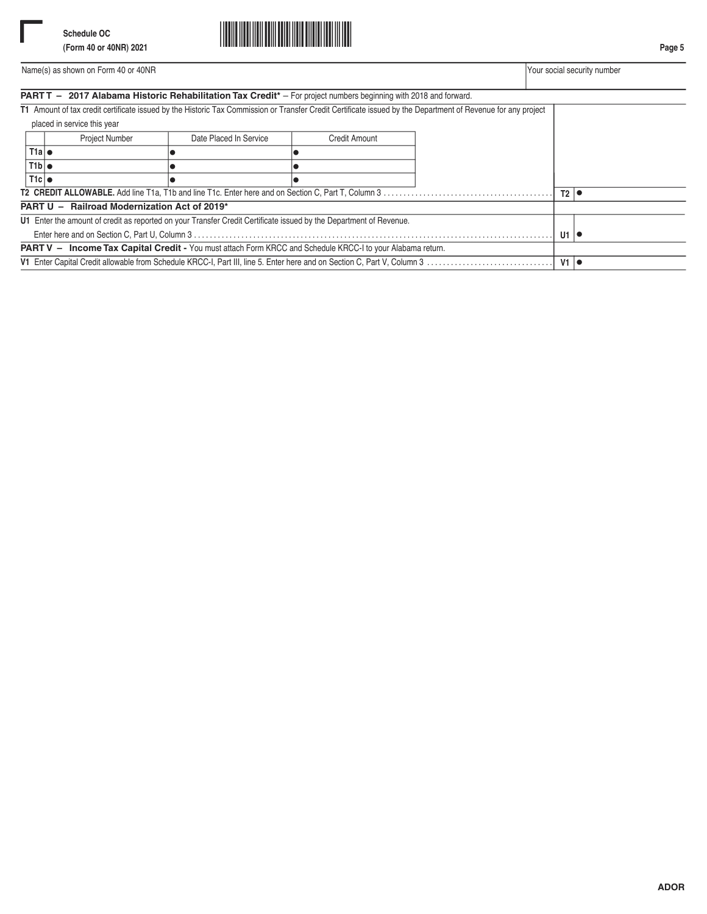

**Page 5**

|                                              |                             |                        | <b>PARTT</b> - 2017 Alabama Historic Rehabilitation Tax Credit <sup>*</sup> - For project numbers beginning with 2018 and forward. | T1 Amount of tax credit certificate issued by the Historic Tax Commission or Transfer Credit Certificate issued by the Department of Revenue for any project |  |  |
|----------------------------------------------|-----------------------------|------------------------|------------------------------------------------------------------------------------------------------------------------------------|--------------------------------------------------------------------------------------------------------------------------------------------------------------|--|--|
|                                              | placed in service this year |                        |                                                                                                                                    |                                                                                                                                                              |  |  |
|                                              | <b>Project Number</b>       | Date Placed In Service | <b>Credit Amount</b>                                                                                                               |                                                                                                                                                              |  |  |
| T1a                                          |                             |                        |                                                                                                                                    |                                                                                                                                                              |  |  |
| T1b                                          |                             |                        |                                                                                                                                    |                                                                                                                                                              |  |  |
| T1c                                          |                             |                        |                                                                                                                                    |                                                                                                                                                              |  |  |
|                                              |                             |                        |                                                                                                                                    |                                                                                                                                                              |  |  |
| PART U - Railroad Modernization Act of 2019* |                             |                        |                                                                                                                                    |                                                                                                                                                              |  |  |

**U1** Enter the amount of credit as reported on your Transfer Credit Certificate issued by the Department of Revenue. Enter here and on Section C, Part U, Column 3 . . . . . . . . . . . . . . . . . . . . . . . . . . . . . . . . . . . . . . . . . . . . . . . . . . . . . . . . . . . . . . . . . . . . . . . . . . . . . . . . . . . . . . . . . . . **PART V - Income Tax Capital Credit - You must attach Form KRCC and Schedule KRCC-I to your Alabama return. V1** Enter Capital Credit allowable from Schedule KRCC-I, Part III, line 5. Enter here and on Section C, Part V, Column 3 . . . . . . . . . . . . . . . . . . . . . . . . . . . . . . . . **U1** • **V1** •



**ADOR**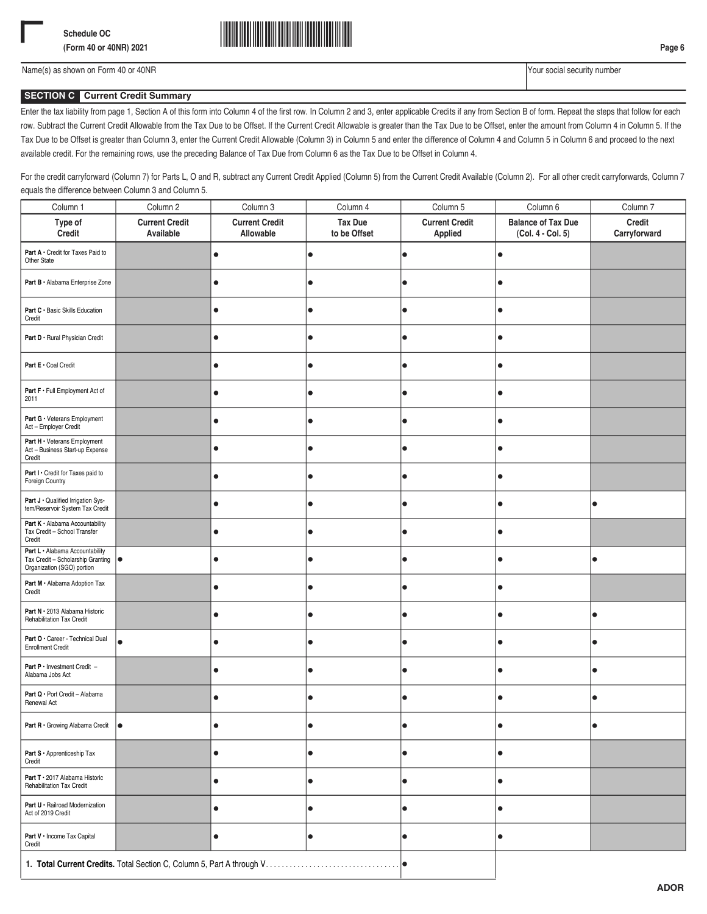

# **SECTION C Current Credit Summary**

Enter the tax liability from page 1, Section A of this form into Column 4 of the first row. In Column 2 and 3, enter applicable Credits if any from Section B of form. Repeat the steps that follow for each row. Subtract the Current Credit Allowable from the Tax Due to be Offset. If the Current Credit Allowable is greater than the Tax Due to be Offset, enter the amount from Column 4 in Column 5. If the Tax Due to be Offset is greater than Column 3, enter the Current Credit Allowable (Column 3) in Column 5 and enter the difference of Column 4 and Column 5 in Column 6 and proceed to the next available credit. For the remaining rows, use the preceding Balance of Tax Due from Column 6 as the Tax Due to be Offset in Column 4.

For the credit carryforward (Column 7) for Parts L, O and R, subtract any Current Credit Applied (Column 5) from the Current Credit Available (Column 2). For all other credit carryforwards, Column 7 equals the difference between Column 3 and Column 5.

| Column 1                                                                                                                 | Column 2                           | Column 3                           | Column 4                       | Column 5                         | Column 6                                       | Column 7               |
|--------------------------------------------------------------------------------------------------------------------------|------------------------------------|------------------------------------|--------------------------------|----------------------------------|------------------------------------------------|------------------------|
| Type of<br>Credit                                                                                                        | <b>Current Credit</b><br>Available | <b>Current Credit</b><br>Allowable | <b>Tax Due</b><br>to be Offset | <b>Current Credit</b><br>Applied | <b>Balance of Tax Due</b><br>(Col. 4 - Col. 5) | Credit<br>Carryforward |
| Part A · Credit for Taxes Paid to<br>Other State                                                                         |                                    | $\bullet$                          | $\bullet$                      | $\bullet$                        | $\bullet$                                      |                        |
| Part B · Alabama Enterprise Zone                                                                                         |                                    | $\bullet$                          | $\bullet$                      | $\bullet$                        | $\bullet$                                      |                        |
| Part C · Basic Skills Education<br>Credit                                                                                |                                    | $\bullet$                          | $\bullet$                      | $\bullet$                        | $\bullet$                                      |                        |
| Part D · Rural Physician Credit                                                                                          |                                    | $\bullet$                          | $\bullet$                      | $\bullet$                        | $\bullet$                                      |                        |
| Part E · Coal Credit                                                                                                     |                                    | $\bullet$                          | $\bullet$                      | $\bullet$                        | $\bullet$                                      |                        |
| Part F · Full Employment Act of<br>2011                                                                                  |                                    | $\bullet$                          | $\bullet$                      | $\bullet$                        | $\bullet$                                      |                        |
| Part G · Veterans Employment<br>Act - Employer Credit                                                                    |                                    | $\bullet$                          | $\bullet$                      | $\bullet$                        | $\bullet$                                      |                        |
| Part H · Veterans Employment<br>Act - Business Start-up Expense<br>Credit                                                |                                    | $\bullet$                          | $\bullet$                      | $\bullet$                        | $\bullet$                                      |                        |
| Part I · Credit for Taxes paid to<br>Foreign Country                                                                     |                                    | $\bullet$                          | $\bullet$                      | $\bullet$                        | $\bullet$                                      |                        |
| Part J · Qualified Irrigation Sys-<br>tem/Reservoir System Tax Credit                                                    |                                    | $\bullet$                          | $\bullet$                      | $\bullet$                        | $\bullet$                                      | $\bullet$              |
| Part K · Alabama Accountability<br>Tax Credit - School Transfer<br>Credit                                                |                                    | $\bullet$                          | $\bullet$                      | $\bullet$                        | $\bullet$                                      |                        |
| Part L · Alabama Accountability<br>Tax Credit - Scholarship Granting $\vert \bullet \vert$<br>Organization (SGO) portion |                                    | $\bullet$                          | $\bullet$                      | $\bullet$                        | $\bullet$                                      | $\bullet$              |
| Part M · Alabama Adoption Tax<br>Credit                                                                                  |                                    | $\bullet$                          | $\bullet$                      | $\bullet$                        | $\bullet$                                      |                        |
| Part N · 2013 Alabama Historic<br>Rehabilitation Tax Credit                                                              |                                    | $\bullet$                          | $\bullet$                      | $\bullet$                        | $\bullet$                                      | $\bullet$              |
| Part O · Career - Technical Dual<br><b>Enrollment Credit</b>                                                             | $\bullet$                          | $\bullet$                          | $\bullet$                      | $\bullet$                        | $\bullet$                                      | $\bullet$              |
| Part P · Investment Credit -<br>Alabama Jobs Act                                                                         |                                    | $\bullet$                          | $\bullet$                      | $\bullet$                        | $\bullet$                                      | $\bullet$              |
| Part Q · Port Credit - Alabama<br>Renewal Act                                                                            |                                    | 0                                  | $\bullet$                      | $\bullet$                        | $\bullet$                                      | $\bullet$              |
| <b>Part R</b> $\cdot$ Growing Alabama Credit $\bullet$                                                                   |                                    | $\bullet$                          | $\bullet$                      | 10                               | $\bullet$                                      | $\bullet$              |
| Part S · Apprenticeship Tax<br>Credit                                                                                    |                                    | $\bullet$                          | $\bullet$                      | $\bullet$                        | $\bullet$                                      |                        |
| Part T · 2017 Alabama Historic<br>Rehabilitation Tax Credit                                                              |                                    | $\bullet$                          | $\bullet$                      | $\bullet$                        | $\bullet$                                      |                        |
| Part U · Railroad Modernization<br>Act of 2019 Credit                                                                    |                                    | $\bullet$                          | $\bullet$                      | $\bullet$                        | $\bullet$                                      |                        |
| Part V · Income Tax Capital<br>Credit                                                                                    |                                    | $\bullet$                          | $\bullet$                      | 10                               | $\bullet$                                      |                        |
|                                                                                                                          |                                    |                                    |                                | 10                               |                                                |                        |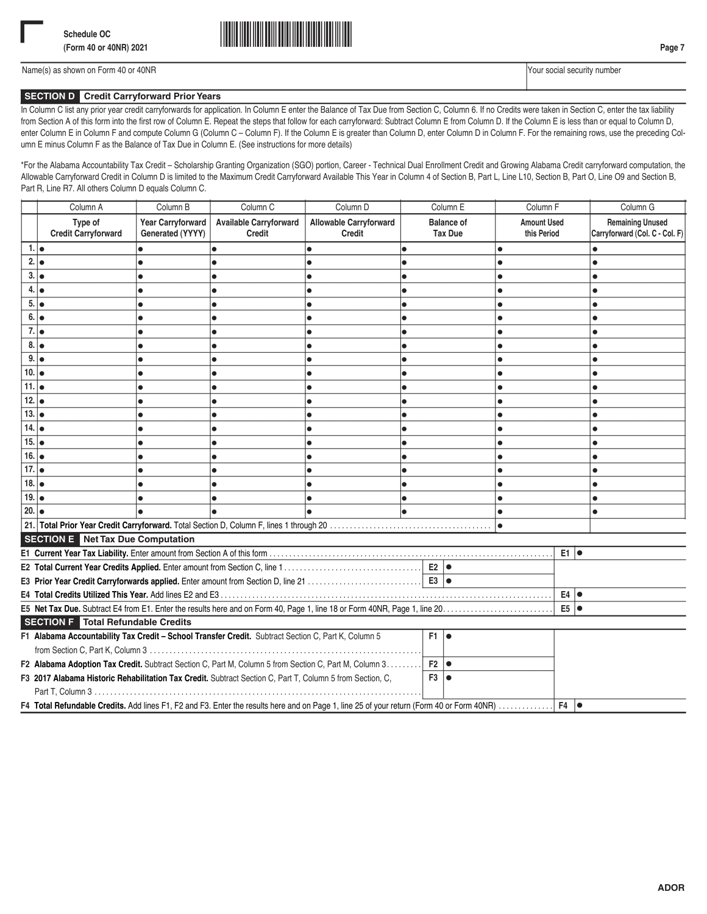

## **SECTION D Credit Carryforward Prior Years**

In Column C list any prior year credit carryforwards for application. In Column E enter the Balance of Tax Due from Section C, Column 6. If no Credits were taken in Section C, enter the tax liability from Section A of this form into the first row of Column E. Repeat the steps that follow for each carryforward: Subtract Column E from Column D. If the Column E is less than or equal to Column D, enter Column E in Column F and compute Column G (Column C – Column F). If the Column E is greater than Column D, enter Column D in Column F. For the remaining rows, use the preceding Column E minus Column F as the Balance of Tax Due in Column E. (See instructions for more details)

\*For the Alabama Accountability Tax Credit – Scholarship Granting Organization (SGO) portion, Career - Technical Dual Enrollment Credit and Growing Alabama Credit carryforward computation, the Allowable Carryforward Credit in Column D is limited to the Maximum Credit Carryforward Available This Year in Column 4 of Section B, Part L, Line L10, Section B, Part O, Line O9 and Section B, Part R, Line R7. All others Column D equals Column C.

|                  | Column A                                                                                                                                  | Column B                                     | Column <sub>C</sub>                     | Column D                                | Column E                            | Column <sub>F</sub>               | Column G                                                  |  |  |
|------------------|-------------------------------------------------------------------------------------------------------------------------------------------|----------------------------------------------|-----------------------------------------|-----------------------------------------|-------------------------------------|-----------------------------------|-----------------------------------------------------------|--|--|
|                  | Type of<br><b>Credit Carryforward</b>                                                                                                     | <b>Year Carryforward</b><br>Generated (YYYY) | <b>Available Carryforward</b><br>Credit | <b>Allowable Carryforward</b><br>Credit | <b>Balance of</b><br><b>Tax Due</b> | <b>Amount Used</b><br>this Period | <b>Remaining Unused</b><br>Carryforward (Col. C - Col. F) |  |  |
| 1.  <sub>•</sub> |                                                                                                                                           |                                              |                                         | lo                                      |                                     | $\bullet$                         | $\bullet$                                                 |  |  |
| 2.               |                                                                                                                                           |                                              |                                         | ٠                                       |                                     |                                   |                                                           |  |  |
| 3.               |                                                                                                                                           |                                              |                                         |                                         |                                     |                                   |                                                           |  |  |
|                  | 4.   ●                                                                                                                                    |                                              |                                         |                                         |                                     |                                   |                                                           |  |  |
| 5.               | I۰                                                                                                                                        |                                              |                                         |                                         |                                     |                                   |                                                           |  |  |
| 6.               | I۰                                                                                                                                        |                                              |                                         |                                         |                                     |                                   |                                                           |  |  |
| $7.1\bullet$     |                                                                                                                                           |                                              |                                         |                                         |                                     |                                   |                                                           |  |  |
| 8.               |                                                                                                                                           |                                              |                                         |                                         |                                     |                                   |                                                           |  |  |
| 9.  <sub>•</sub> |                                                                                                                                           |                                              |                                         |                                         |                                     |                                   |                                                           |  |  |
| 10.              |                                                                                                                                           |                                              |                                         |                                         |                                     |                                   |                                                           |  |  |
| 11.              |                                                                                                                                           |                                              |                                         |                                         |                                     |                                   |                                                           |  |  |
| 12.              |                                                                                                                                           |                                              |                                         |                                         |                                     |                                   |                                                           |  |  |
| 13.              |                                                                                                                                           |                                              |                                         |                                         |                                     |                                   |                                                           |  |  |
| 14.              |                                                                                                                                           |                                              |                                         |                                         |                                     |                                   |                                                           |  |  |
| 15.              |                                                                                                                                           |                                              |                                         |                                         |                                     |                                   |                                                           |  |  |
| 16.              |                                                                                                                                           |                                              |                                         |                                         |                                     |                                   |                                                           |  |  |
| 17.              |                                                                                                                                           |                                              |                                         |                                         |                                     |                                   |                                                           |  |  |
| 18.              |                                                                                                                                           |                                              |                                         |                                         |                                     |                                   |                                                           |  |  |
| 19.              |                                                                                                                                           |                                              |                                         |                                         |                                     |                                   |                                                           |  |  |
| 20.              |                                                                                                                                           |                                              |                                         |                                         |                                     | $\bullet$                         |                                                           |  |  |
|                  |                                                                                                                                           |                                              |                                         |                                         |                                     | $\bullet$                         |                                                           |  |  |
|                  | <b>SECTION E</b> Net Tax Due Computation                                                                                                  |                                              |                                         |                                         |                                     |                                   |                                                           |  |  |
|                  |                                                                                                                                           |                                              |                                         |                                         |                                     | E1 lo                             |                                                           |  |  |
|                  |                                                                                                                                           |                                              |                                         |                                         |                                     |                                   |                                                           |  |  |
|                  |                                                                                                                                           |                                              |                                         |                                         |                                     |                                   |                                                           |  |  |
|                  |                                                                                                                                           |                                              |                                         |                                         |                                     | $E4$ $\bullet$                    |                                                           |  |  |
|                  |                                                                                                                                           |                                              |                                         |                                         |                                     | $E5$ $\bullet$                    |                                                           |  |  |
|                  | <b>SECTION F</b> Total Refundable Credits                                                                                                 |                                              |                                         |                                         |                                     |                                   |                                                           |  |  |
|                  | F1 Alabama Accountability Tax Credit - School Transfer Credit. Subtract Section C, Part K, Column 5                                       |                                              |                                         |                                         | $F1$ $\bullet$                      |                                   |                                                           |  |  |
|                  |                                                                                                                                           |                                              |                                         |                                         |                                     |                                   |                                                           |  |  |
|                  | F2 Alabama Adoption Tax Credit. Subtract Section C, Part M, Column 5 from Section C, Part M, Column 3<br>$F2   \bullet$                   |                                              |                                         |                                         |                                     |                                   |                                                           |  |  |
|                  | F3 2017 Alabama Historic Rehabilitation Tax Credit. Subtract Section C, Part T, Column 5 from Section, C,<br>$F3$ $\bullet$               |                                              |                                         |                                         |                                     |                                   |                                                           |  |  |
|                  |                                                                                                                                           |                                              |                                         |                                         |                                     |                                   |                                                           |  |  |
|                  | F4 Total Refundable Credits. Add lines F1, F2 and F3. Enter the results here and on Page 1, line 25 of your return (Form 40 or Form 40NR) |                                              |                                         |                                         |                                     | F4                                |                                                           |  |  |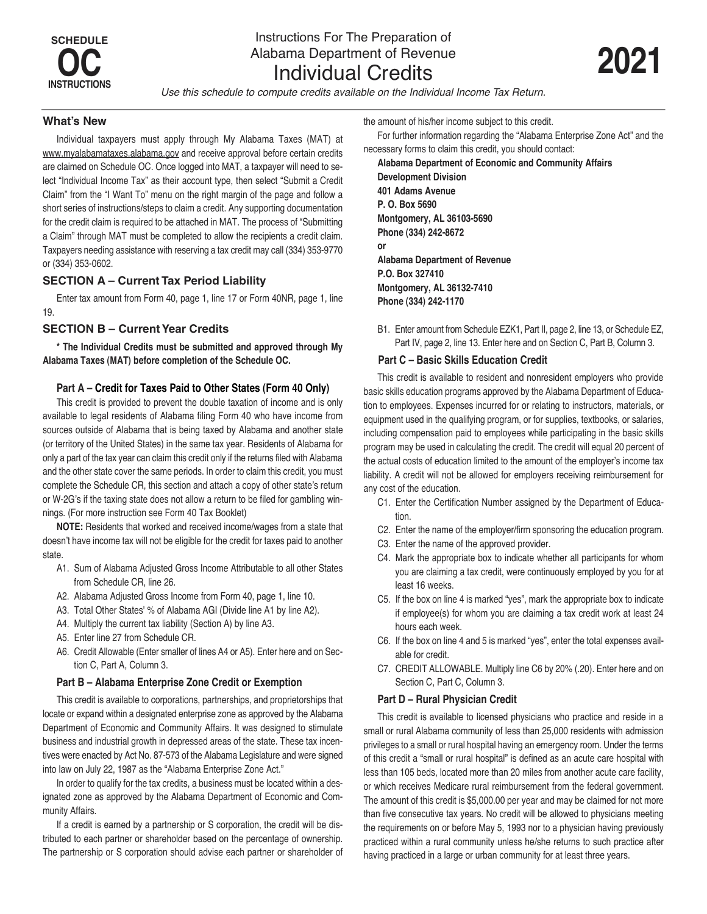*Use this schedule to compute credits available on the Individual Income Tax Return.*

### **What's New**

Individual taxpayers must apply through My Alabama Taxes (MAT) at www.myalabamataxes.alabama.gov and receive approval before certain credits are claimed on Schedule OC. Once logged into MAT, a taxpayer will need to select "Individual Income Tax" as their account type, then select "Submit a Credit Claim" from the "I Want To" menu on the right margin of the page and follow a short series of instructions/steps to claim a credit. Any supporting documentation for the credit claim is required to be attached in MAT. The process of "Submitting a Claim" through MAT must be completed to allow the recipients a credit claim. Taxpayers needing assistance with reserving a tax credit may call (334) 353-9770 or (334) 353-0602.

## **SECTION A – Current Tax Period Liability**

Enter tax amount from Form 40, page 1, line 17 or Form 40NR, page 1, line 19.

## **SECTION B – Current Year Credits**

**\* The Individual Credits must be submitted and approved through My Alabama Taxes (MAT) before completion of the Schedule OC.**

## **Part A – Credit for Taxes Paid to Other States (Form 40 Only)**

This credit is provided to prevent the double taxation of income and is only available to legal residents of Alabama filing Form 40 who have income from sources outside of Alabama that is being taxed by Alabama and another state (or territory of the United States) in the same tax year. Residents of Alabama for only a part of the tax year can claim this credit only if the returns filed with Alabama and the other state cover the same periods. In order to claim this credit, you must complete the Schedule CR, this section and attach a copy of other state's return or W-2G's if the taxing state does not allow a return to be filed for gambling winnings. (For more instruction see Form 40 Tax Booklet)

**NOTE:** Residents that worked and received income/wages from a state that doesn't have income tax will not be eligible for the credit for taxes paid to another state.

- A1. Sum of Alabama Adjusted Gross Income Attributable to all other States from Schedule CR, line 26.
- A2. Alabama Adjusted Gross Income from Form 40, page 1, line 10.
- A3. Total Other States' % of Alabama AGI (Divide line A1 by line A2).
- A4. Multiply the current tax liability (Section A) by line A3.
- A5. Enter line 27 from Schedule CR.
- A6. Credit Allowable (Enter smaller of lines A4 or A5). Enter here and on Section C, Part A, Column 3.

## **Part B – Alabama Enterprise Zone Credit or Exemption**

This credit is available to corporations, partnerships, and proprietorships that locate or expand within a designated enterprise zone as approved by the Alabama Department of Economic and Community Affairs. It was designed to stimulate business and industrial growth in depressed areas of the state. These tax incentives were enacted by Act No. 87-573 of the Alabama Legislature and were signed into law on July 22, 1987 as the "Alabama Enterprise Zone Act."

In order to qualify for the tax credits, a business must be located within a designated zone as approved by the Alabama Department of Economic and Community Affairs.

If a credit is earned by a partnership or S corporation, the credit will be distributed to each partner or shareholder based on the percentage of ownership. The partnership or S corporation should advise each partner or shareholder of the amount of his/her income subject to this credit.

For further information regarding the "Alabama Enterprise Zone Act" and the necessary forms to claim this credit, you should contact:

**Alabama Department of Economic and Community Affairs Development Division 401 Adams Avenue P. O. Box 5690 Montgomery, AL 36103-5690 Phone (334) 242-8672 or Alabama Department of Revenue P.O. Box 327410 Montgomery, AL 36132-7410 Phone (334) 242-1170**

B1. Enter amount from Schedule EZK1, Part II, page 2, line 13, or Schedule EZ, Part IV, page 2, line 13. Enter here and on Section C, Part B, Column 3.

### **Part C – Basic Skills Education Credit**

This credit is available to resident and nonresident employers who provide basic skills education programs approved by the Alabama Department of Education to employees. Expenses incurred for or relating to instructors, materials, or equipment used in the qualifying program, or for supplies, textbooks, or salaries, including compensation paid to employees while participating in the basic skills program may be used in calculating the credit. The credit will equal 20 percent of the actual costs of education limited to the amount of the employer's income tax liability. A credit will not be allowed for employers receiving reimbursement for any cost of the education.

- C1. Enter the Certification Number assigned by the Department of Education.
- C2. Enter the name of the employer/firm sponsoring the education program.
- C3. Enter the name of the approved provider.
- C4. Mark the appropriate box to indicate whether all participants for whom you are claiming a tax credit, were continuously employed by you for at least 16 weeks.
- C5. If the box on line 4 is marked "yes", mark the appropriate box to indicate if employee(s) for whom you are claiming a tax credit work at least 24 hours each week.
- C6. If the box on line 4 and 5 is marked "yes", enter the total expenses available for credit.
- C7. CREDIT ALLOWABLE. Multiply line C6 by 20% (.20). Enter here and on Section C, Part C, Column 3.

### **Part D – Rural Physician Credit**

This credit is available to licensed physicians who practice and reside in a small or rural Alabama community of less than 25,000 residents with admission privileges to a small or rural hospital having an emergency room. Under the terms of this credit a "small or rural hospital" is defined as an acute care hospital with less than 105 beds, located more than 20 miles from another acute care facility, or which receives Medicare rural reimbursement from the federal government. The amount of this credit is \$5,000.00 per year and may be claimed for not more than five consecutive tax years. No credit will be allowed to physicians meeting the requirements on or before May 5, 1993 nor to a physician having previously practiced within a rural community unless he/she returns to such practice after having practiced in a large or urban community for at least three years.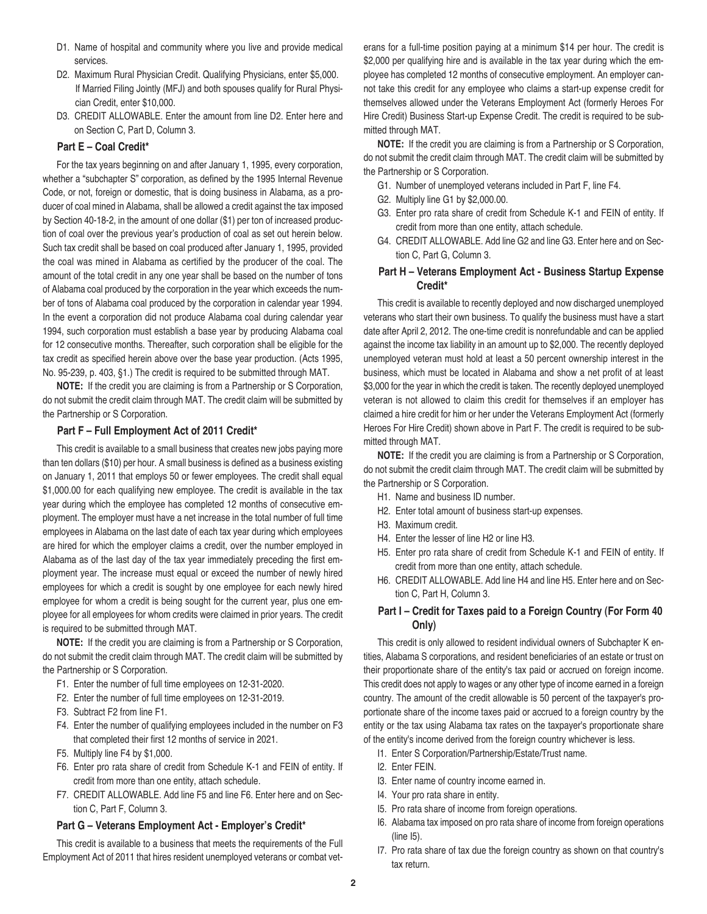- D1. Name of hospital and community where you live and provide medical services.
- D2. Maximum Rural Physician Credit. Qualifying Physicians, enter \$5,000. If Married Filing Jointly (MFJ) and both spouses qualify for Rural Physician Credit, enter \$10,000.
- D3. CREDIT ALLOWABLE. Enter the amount from line D2. Enter here and on Section C, Part D, Column 3.

### **Part E – Coal Credit\***

For the tax years beginning on and after January 1, 1995, every corporation, whether a "subchapter S" corporation, as defined by the 1995 Internal Revenue Code, or not, foreign or domestic, that is doing business in Alabama, as a producer of coal mined in Alabama, shall be allowed a credit against the tax imposed by Section 40-18-2, in the amount of one dollar (\$1) per ton of increased production of coal over the previous year's production of coal as set out herein below. Such tax credit shall be based on coal produced after January 1, 1995, provided the coal was mined in Alabama as certified by the producer of the coal. The amount of the total credit in any one year shall be based on the number of tons of Alabama coal produced by the corporation in the year which exceeds the number of tons of Alabama coal produced by the corporation in calendar year 1994. In the event a corporation did not produce Alabama coal during calendar year 1994, such corporation must establish a base year by producing Alabama coal for 12 consecutive months. Thereafter, such corporation shall be eligible for the tax credit as specified herein above over the base year production. (Acts 1995, No. 95-239, p. 403, §1.) The credit is required to be submitted through MAT.

**NOTE:** If the credit you are claiming is from a Partnership or S Corporation, do not submit the credit claim through MAT. The credit claim will be submitted by the Partnership or S Corporation.

### **Part F – Full Employment Act of 2011 Credit\***

This credit is available to a small business that creates new jobs paying more than ten dollars (\$10) per hour. A small business is defined as a business existing on January 1, 2011 that employs 50 or fewer employees. The credit shall equal \$1,000.00 for each qualifying new employee. The credit is available in the tax year during which the employee has completed 12 months of consecutive employment. The employer must have a net increase in the total number of full time employees in Alabama on the last date of each tax year during which employees are hired for which the employer claims a credit, over the number employed in Alabama as of the last day of the tax year immediately preceding the first employment year. The increase must equal or exceed the number of newly hired employees for which a credit is sought by one employee for each newly hired employee for whom a credit is being sought for the current year, plus one employee for all employees for whom credits were claimed in prior years. The credit is required to be submitted through MAT.

**NOTE:** If the credit you are claiming is from a Partnership or S Corporation, do not submit the credit claim through MAT. The credit claim will be submitted by the Partnership or S Corporation.

- F1. Enter the number of full time employees on 12-31-2020.
- F2. Enter the number of full time employees on 12-31-2019.
- F3. Subtract F2 from line F1.
- F4. Enter the number of qualifying employees included in the number on F3 that completed their first 12 months of service in 2021 .
- F5. Multiply line F4 by \$1,000.
- F6. Enter pro rata share of credit from Schedule K-1 and FEIN of entity. If credit from more than one entity, attach schedule.
- F7. CREDIT ALLOWABLE. Add line F5 and line F6. Enter here and on Section C, Part F, Column 3.

#### **Part G – Veterans Employment Act - Employer's Credit\***

This credit is available to a business that meets the requirements of the Full Employment Act of 2011 that hires resident unemployed veterans or combat veterans for a full-time position paying at a minimum \$14 per hour. The credit is \$2,000 per qualifying hire and is available in the tax year during which the employee has completed 12 months of consecutive employment. An employer cannot take this credit for any employee who claims a start-up expense credit for themselves allowed under the Veterans Employment Act (formerly Heroes For Hire Credit) Business Start-up Expense Credit. The credit is required to be submitted through MAT.

**NOTE:** If the credit you are claiming is from a Partnership or S Corporation, do not submit the credit claim through MAT. The credit claim will be submitted by the Partnership or S Corporation.

- G1. Number of unemployed veterans included in Part F, line F4.
- G2. Multiply line G1 by \$2,000.00.
- G3. Enter pro rata share of credit from Schedule K-1 and FEIN of entity. If credit from more than one entity, attach schedule.
- G4. CREDIT ALLOWABLE. Add line G2 and line G3. Enter here and on Section C, Part G, Column 3.

## **Part H – Veterans Employment Act - Business Startup Expense Credit\***

This credit is available to recently deployed and now discharged unemployed veterans who start their own business. To qualify the business must have a start date after April 2, 2012. The one-time credit is nonrefundable and can be applied against the income tax liability in an amount up to \$2,000. The recently deployed unemployed veteran must hold at least a 50 percent ownership interest in the business, which must be located in Alabama and show a net profit of at least \$3,000 for the year in which the credit is taken. The recently deployed unemployed veteran is not allowed to claim this credit for themselves if an employer has claimed a hire credit for him or her under the Veterans Employment Act (formerly Heroes For Hire Credit) shown above in Part F. The credit is required to be submitted through MAT.

**NOTE:** If the credit you are claiming is from a Partnership or S Corporation, do not submit the credit claim through MAT. The credit claim will be submitted by the Partnership or S Corporation.

- H1. Name and business ID number.
- H2. Enter total amount of business start-up expenses.
- H3. Maximum credit.
- H4. Enter the lesser of line H2 or line H3.
- H5. Enter pro rata share of credit from Schedule K-1 and FEIN of entity. If credit from more than one entity, attach schedule.
- H6. CREDIT ALLOWABLE. Add line H4 and line H5. Enter here and on Section C, Part H, Column 3.

### **Part I – Credit for Taxes paid to a Foreign Country (For Form 40 Only)**

This credit is only allowed to resident individual owners of Subchapter K entities, Alabama S corporations, and resident beneficiaries of an estate or trust on their proportionate share of the entity's tax paid or accrued on foreign income. This credit does not apply to wages or any other type of income earned in a foreign country. The amount of the credit allowable is 50 percent of the taxpayer's proportionate share of the income taxes paid or accrued to a foreign country by the entity or the tax using Alabama tax rates on the taxpayer's proportionate share of the entity's income derived from the foreign country whichever is less.

- I1. Enter S Corporation/Partnership/Estate/Trust name.
- I2. Enter FEIN.
- I3. Enter name of country income earned in.
- I4. Your pro rata share in entity.
- I5. Pro rata share of income from foreign operations.
- I6. Alabama tax imposed on pro rata share of income from foreign operations (line I5).
- I7. Pro rata share of tax due the foreign country as shown on that country's tax return.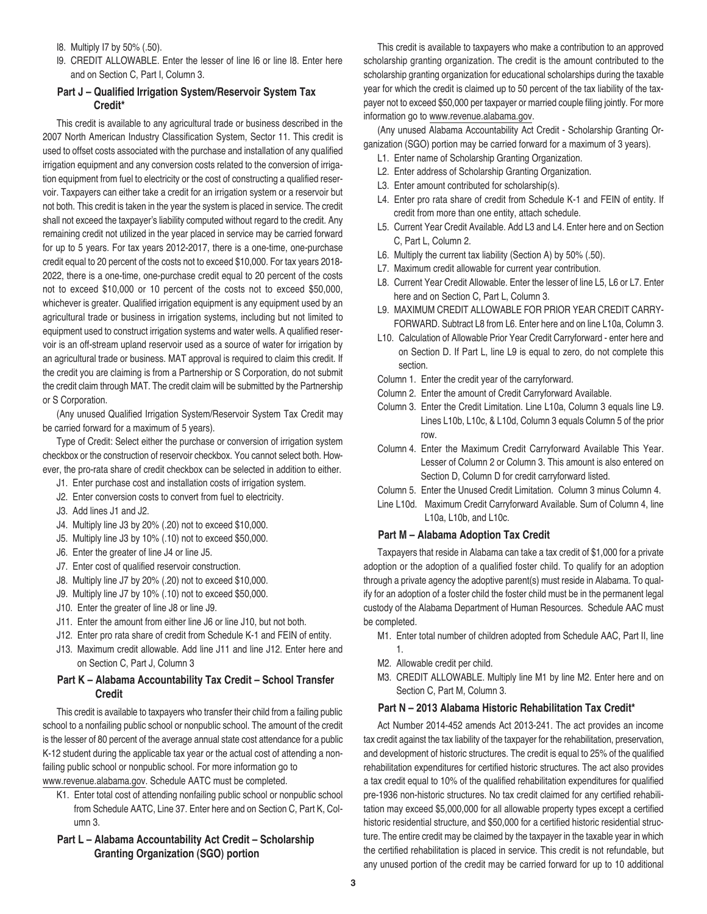- I8. Multiply I7 by 50% (.50).
- I9. CREDIT ALLOWABLE. Enter the lesser of line I6 or line I8. Enter here and on Section C, Part I, Column 3.

## **Part J – Qualified Irrigation System/Reservoir System Tax Credit\***

This credit is available to any agricultural trade or business described in the 2007 North American Industry Classification System, Sector 11. This credit is used to offset costs associated with the purchase and installation of any qualified irrigation equipment and any conversion costs related to the conversion of irrigation equipment from fuel to electricity or the cost of constructing a qualified reservoir. Taxpayers can either take a credit for an irrigation system or a reservoir but not both. This credit is taken in the year the system is placed in service. The credit shall not exceed the taxpayer's liability computed without regard to the credit. Any remaining credit not utilized in the year placed in service may be carried forward for up to 5 years. For tax years 2012-2017, there is a one-time, one-purchase credit equal to 20 percent of the costs not to exceed \$10,000. For tax years 2018- 2022, there is a one-time, one-purchase credit equal to 20 percent of the costs not to exceed \$10,000 or 10 percent of the costs not to exceed \$50,000, whichever is greater. Qualified irrigation equipment is any equipment used by an agricultural trade or business in irrigation systems, including but not limited to equipment used to construct irrigation systems and water wells. A qualified reservoir is an off-stream upland reservoir used as a source of water for irrigation by an agricultural trade or business. MAT approval is required to claim this credit. If the credit you are claiming is from a Partnership or S Corporation, do not submit the credit claim through MAT. The credit claim will be submitted by the Partnership or S Corporation.

(Any unused Qualified Irrigation System/Reservoir System Tax Credit may be carried forward for a maximum of 5 years).

Type of Credit: Select either the purchase or conversion of irrigation system checkbox or the construction of reservoir checkbox. You cannot select both. However, the pro-rata share of credit checkbox can be selected in addition to either.

- J1. Enter purchase cost and installation costs of irrigation system.
- J2. Enter conversion costs to convert from fuel to electricity.
- J3. Add lines J1 and J2.
- J4. Multiply line J3 by 20% (.20) not to exceed \$10,000.
- J5. Multiply line J3 by 10% (.10) not to exceed \$50,000.
- J6. Enter the greater of line J4 or line J5.
- J7. Enter cost of qualified reservoir construction.
- J8. Multiply line J7 by 20% (.20) not to exceed \$10,000.
- J9. Multiply line J7 by 10% (.10) not to exceed \$50,000.
- J10. Enter the greater of line J8 or line J9.
- J11. Enter the amount from either line J6 or line J10, but not both.
- J12. Enter pro rata share of credit from Schedule K-1 and FEIN of entity.
- J13. Maximum credit allowable. Add line J11 and line J12. Enter here and on Section C, Part J, Column 3

## **Part K – Alabama Accountability Tax Credit – School Transfer Credit**

This credit is available to taxpayers who transfer their child from a failing public school to a nonfailing public school or nonpublic school. The amount of the credit is the lesser of 80 percent of the average annual state cost attendance for a public K-12 student during the applicable tax year or the actual cost of attending a nonfailing public school or nonpublic school. For more information go to www.revenue.alabama.gov. Schedule AATC must be completed.

- K1. Enter total cost of attending nonfailing public school or nonpublic school from Schedule AATC, Line 37. Enter here and on Section C, Part K, Column 3.
- **Part L – Alabama Accountability Act Credit Scholarship Granting Organization (SGO) portion**

This credit is available to taxpayers who make a contribution to an approved scholarship granting organization. The credit is the amount contributed to the scholarship granting organization for educational scholarships during the taxable year for which the credit is claimed up to 50 percent of the tax liability of the taxpayer not to exceed \$50,000 per taxpayer or married couple filing jointly. For more information go to www.revenue.alabama.gov.

(Any unused Alabama Accountability Act Credit - Scholarship Granting Organization (SGO) portion may be carried forward for a maximum of 3 years).

- L1. Enter name of Scholarship Granting Organization.
- L2. Enter address of Scholarship Granting Organization.
- L3. Enter amount contributed for scholarship(s).
- L4. Enter pro rata share of credit from Schedule K-1 and FEIN of entity. If credit from more than one entity, attach schedule.
- L5. Current Year Credit Available. Add L3 and L4. Enter here and on Section C, Part L, Column 2.
- L6. Multiply the current tax liability (Section A) by 50% (.50).
- L7. Maximum credit allowable for current year contribution.
- L8. Current Year Credit Allowable. Enter the lesser of line L5, L6 or L7. Enter here and on Section C, Part L, Column 3.
- L9. MAXIMUM CREDIT ALLOWABLE FOR PRIOR YEAR CREDIT CARRY-FORWARD. Subtract L8 from L6. Enter here and on line L10a, Column 3.
- L10. Calculation of Allowable Prior Year Credit Carryforward enter here and on Section D. If Part L, line L9 is equal to zero, do not complete this section.
- Column 1. Enter the credit year of the carryforward.
- Column 2. Enter the amount of Credit Carryforward Available.
- Column 3. Enter the Credit Limitation. Line L10a, Column 3 equals line L9. Lines L10b, L10c, & L10d, Column 3 equals Column 5 of the prior row.
- Column 4. Enter the Maximum Credit Carryforward Available This Year. Lesser of Column 2 or Column 3. This amount is also entered on Section D, Column D for credit carryforward listed.
- Column 5. Enter the Unused Credit Limitation. Column 3 minus Column 4.
- Line L10d. Maximum Credit Carryforward Available. Sum of Column 4, line L10a, L10b, and L10c.

### **Part M – Alabama Adoption Tax Credit**

Taxpayers that reside in Alabama can take a tax credit of \$1,000 for a private adoption or the adoption of a qualified foster child. To qualify for an adoption through a private agency the adoptive parent(s) must reside in Alabama. To qualify for an adoption of a foster child the foster child must be in the permanent legal custody of the Alabama Department of Human Resources. Schedule AAC must be completed.

- M1. Enter total number of children adopted from Schedule AAC, Part II, line 1.
- M2. Allowable credit per child.
- M3. CREDIT ALLOWABLE. Multiply line M1 by line M2. Enter here and on Section C, Part M, Column 3.

### **Part N – 2013 Alabama Historic Rehabilitation Tax Credit\***

Act Number 2014-452 amends Act 2013-241. The act provides an income tax credit against the tax liability of the taxpayer for the rehabilitation, preservation, and development of historic structures. The credit is equal to 25% of the qualified rehabilitation expenditures for certified historic structures. The act also provides a tax credit equal to 10% of the qualified rehabilitation expenditures for qualified pre-1936 non-historic structures. No tax credit claimed for any certified rehabilitation may exceed \$5,000,000 for all allowable property types except a certified historic residential structure, and \$50,000 for a certified historic residential structure. The entire credit may be claimed by the taxpayer in the taxable year in which the certified rehabilitation is placed in service. This credit is not refundable, but any unused portion of the credit may be carried forward for up to 10 additional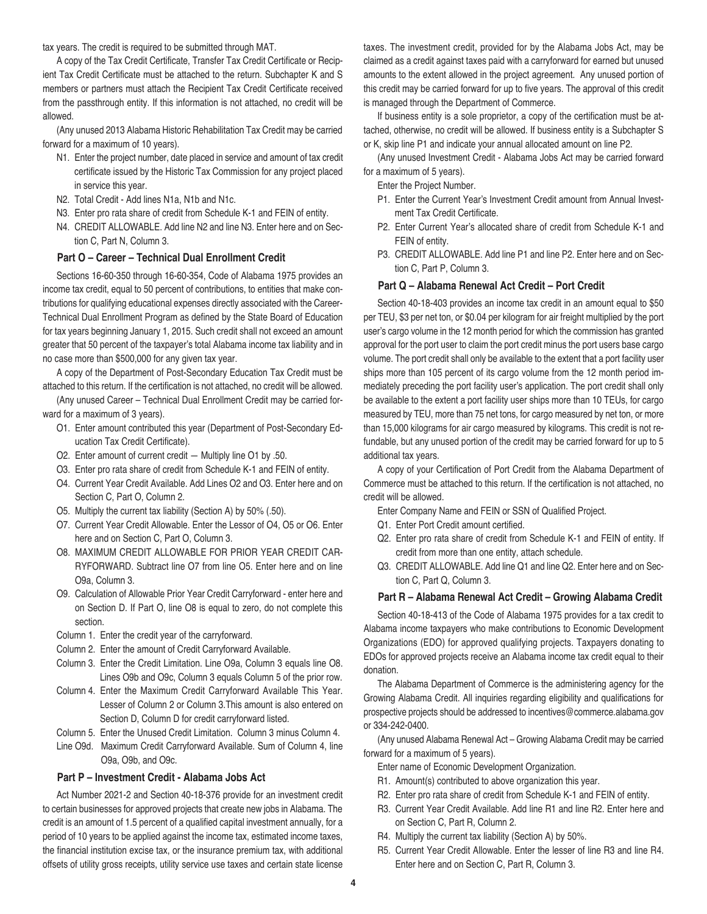tax years. The credit is required to be submitted through MAT.

A copy of the Tax Credit Certificate, Transfer Tax Credit Certificate or Recipient Tax Credit Certificate must be attached to the return. Subchapter K and S members or partners must attach the Recipient Tax Credit Certificate received from the passthrough entity. If this information is not attached, no credit will be allowed.

(Any unused 2013 Alabama Historic Rehabilitation Tax Credit may be carried forward for a maximum of 10 years).

- N1. Enter the project number, date placed in service and amount of tax credit certificate issued by the Historic Tax Commission for any project placed in service this year.
- N2. Total Credit Add lines N1a, N1b and N1c.
- N3. Enter pro rata share of credit from Schedule K-1 and FEIN of entity.
- N4. CREDIT ALLOWABLE. Add line N2 and line N3. Enter here and on Section C, Part N, Column 3.

### **Part O – Career – Technical Dual Enrollment Credit**

Sections 16-60-350 through 16-60-354, Code of Alabama 1975 provides an income tax credit, equal to 50 percent of contributions, to entities that make contributions for qualifying educational expenses directly associated with the Career-Technical Dual Enrollment Program as defined by the State Board of Education for tax years beginning January 1, 2015. Such credit shall not exceed an amount greater that 50 percent of the taxpayer's total Alabama income tax liability and in no case more than \$500,000 for any given tax year.

A copy of the Department of Post-Secondary Education Tax Credit must be attached to this return. If the certification is not attached, no credit will be allowed.

(Any unused Career – Technical Dual Enrollment Credit may be carried forward for a maximum of 3 years).

- O1. Enter amount contributed this year (Department of Post-Secondary Education Tax Credit Certificate).
- O2. Enter amount of current credit Multiply line O1 by .50.
- O3. Enter pro rata share of credit from Schedule K-1 and FEIN of entity.
- O4. Current Year Credit Available. Add Lines O2 and O3. Enter here and on Section C, Part O, Column 2.
- O5. Multiply the current tax liability (Section A) by 50% (.50).
- O7. Current Year Credit Allowable. Enter the Lessor of O4, O5 or O6. Enter here and on Section C, Part O, Column 3.
- O8. MAXIMUM CREDIT ALLOWABLE FOR PRIOR YEAR CREDIT CAR-RYFORWARD. Subtract line O7 from line O5. Enter here and on line O9a, Column 3.
- O9. Calculation of Allowable Prior Year Credit Carryforward enter here and on Section D. If Part O, line O8 is equal to zero, do not complete this section.
- Column 1. Enter the credit year of the carryforward.
- Column 2. Enter the amount of Credit Carryforward Available.
- Column 3. Enter the Credit Limitation. Line O9a, Column 3 equals line O8. Lines O9b and O9c, Column 3 equals Column 5 of the prior row.
- Column 4. Enter the Maximum Credit Carryforward Available This Year. Lesser of Column 2 or Column 3.This amount is also entered on Section D, Column D for credit carryforward listed.
- Column 5. Enter the Unused Credit Limitation. Column 3 minus Column 4.
- Line O9d. Maximum Credit Carryforward Available. Sum of Column 4, line O9a, O9b, and O9c.

#### **Part P – Investment Credit - Alabama Jobs Act**

Act Number 2021-2 and Section 40-18-376 provide for an investment credit to certain businesses for approved projects that create new jobs in Alabama. The credit is an amount of 1.5 percent of a qualified capital investment annually, for a period of 10 years to be applied against the income tax, estimated income taxes, the financial institution excise tax, or the insurance premium tax, with additional offsets of utility gross receipts, utility service use taxes and certain state license

taxes. The investment credit, provided for by the Alabama Jobs Act, may be claimed as a credit against taxes paid with a carryforward for earned but unused amounts to the extent allowed in the project agreement. Any unused portion of this credit may be carried forward for up to five years. The approval of this credit is managed through the Department of Commerce.

If business entity is a sole proprietor, a copy of the certification must be attached, otherwise, no credit will be allowed. If business entity is a Subchapter S or K, skip line P1 and indicate your annual allocated amount on line P2.

(Any unused Investment Credit - Alabama Jobs Act may be carried forward for a maximum of 5 years).

Enter the Project Number.

- P1. Enter the Current Year's Investment Credit amount from Annual Investment Tax Credit Certificate.
- P2. Enter Current Year's allocated share of credit from Schedule K-1 and FEIN of entity.
- P3. CREDIT ALLOWABLE. Add line P1 and line P2. Enter here and on Section C, Part P, Column 3.

### **Part Q – Alabama Renewal Act Credit – Port Credit**

Section 40-18-403 provides an income tax credit in an amount equal to \$50 per TEU, \$3 per net ton, or \$0.04 per kilogram for air freight multiplied by the port user's cargo volume in the 12 month period for which the commission has granted approval for the port user to claim the port credit minus the port users base cargo volume. The port credit shall only be available to the extent that a port facility user ships more than 105 percent of its cargo volume from the 12 month period immediately preceding the port facility user's application. The port credit shall only be available to the extent a port facility user ships more than 10 TEUs, for cargo measured by TEU, more than 75 net tons, for cargo measured by net ton, or more than 15,000 kilograms for air cargo measured by kilograms. This credit is not refundable, but any unused portion of the credit may be carried forward for up to 5 additional tax years.

A copy of your Certification of Port Credit from the Alabama Department of Commerce must be attached to this return. If the certification is not attached, no credit will be allowed.

- Enter Company Name and FEIN or SSN of Qualified Project.
- Q1. Enter Port Credit amount certified.
- Q2. Enter pro rata share of credit from Schedule K-1 and FEIN of entity. If credit from more than one entity, attach schedule.
- Q3. CREDIT ALLOWABLE. Add line Q1 and line Q2. Enter here and on Section C, Part Q, Column 3.

## **Part R – Alabama Renewal Act Credit – Growing Alabama Credit**

Section 40-18-413 of the Code of Alabama 1975 provides for a tax credit to Alabama income taxpayers who make contributions to Economic Development Organizations (EDO) for approved qualifying projects. Taxpayers donating to EDOs for approved projects receive an Alabama income tax credit equal to their donation.

The Alabama Department of Commerce is the administering agency for the Growing Alabama Credit. All inquiries regarding eligibility and qualifications for prospective projects should be addressed to incentives@commerce.alabama.gov or 334-242-0400.

(Any unused Alabama Renewal Act – Growing Alabama Credit may be carried forward for a maximum of 5 years).

Enter name of Economic Development Organization.

- R1. Amount(s) contributed to above organization this year.
- R2. Enter pro rata share of credit from Schedule K-1 and FEIN of entity.
- R3. Current Year Credit Available. Add line R1 and line R2. Enter here and on Section C, Part R, Column 2.
- R4. Multiply the current tax liability (Section A) by 50%.
- R5. Current Year Credit Allowable. Enter the lesser of line R3 and line R4. Enter here and on Section C, Part R, Column 3.